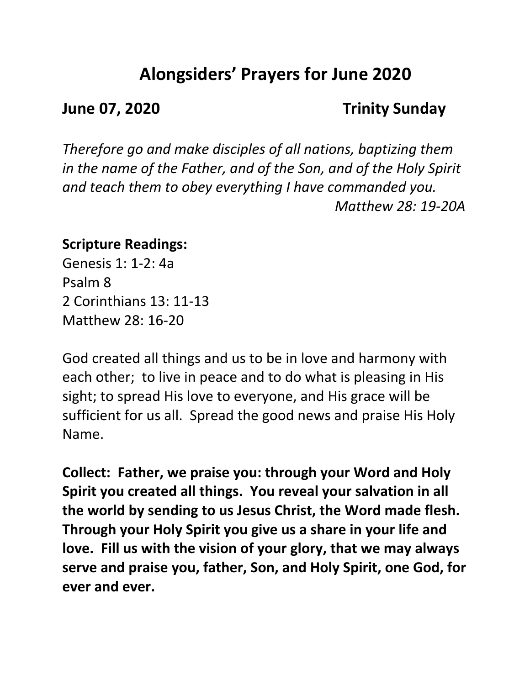# **Alongsiders' Prayers for June 2020**

## **June 07, 2020 Trinity Sunday**

*Therefore go and make disciples of all nations, baptizing them in the name of the Father, and of the Son, and of the Holy Spirit and teach them to obey everything I have commanded you. Matthew 28: 19-20A*

## **Scripture Readings:**

Genesis 1: 1-2: 4a Psalm 8 2 Corinthians 13: 11-13 Matthew 28: 16-20

God created all things and us to be in love and harmony with each other; to live in peace and to do what is pleasing in His sight; to spread His love to everyone, and His grace will be sufficient for us all. Spread the good news and praise His Holy Name.

**Collect: Father, we praise you: through your Word and Holy Spirit you created all things. You reveal your salvation in all the world by sending to us Jesus Christ, the Word made flesh. Through your Holy Spirit you give us a share in your life and love. Fill us with the vision of your glory, that we may always serve and praise you, father, Son, and Holy Spirit, one God, for ever and ever.**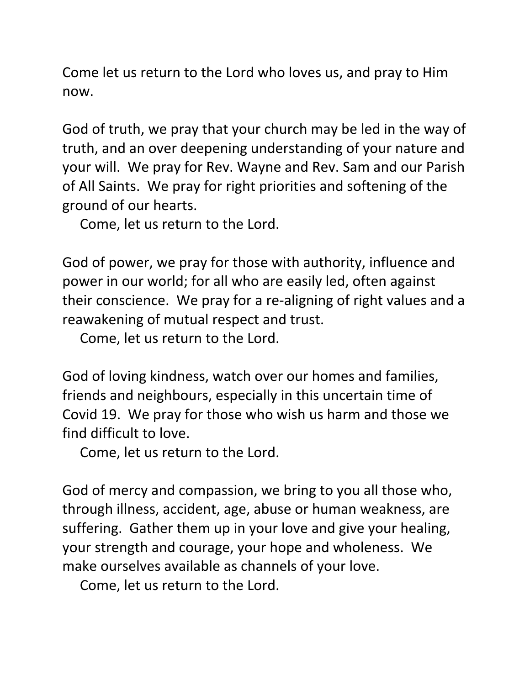Come let us return to the Lord who loves us, and pray to Him now.

God of truth, we pray that your church may be led in the way of truth, and an over deepening understanding of your nature and your will. We pray for Rev. Wayne and Rev. Sam and our Parish of All Saints. We pray for right priorities and softening of the ground of our hearts.

Come, let us return to the Lord.

God of power, we pray for those with authority, influence and power in our world; for all who are easily led, often against their conscience. We pray for a re-aligning of right values and a reawakening of mutual respect and trust.

Come, let us return to the Lord.

God of loving kindness, watch over our homes and families, friends and neighbours, especially in this uncertain time of Covid 19. We pray for those who wish us harm and those we find difficult to love.

Come, let us return to the Lord.

God of mercy and compassion, we bring to you all those who, through illness, accident, age, abuse or human weakness, are suffering. Gather them up in your love and give your healing, your strength and courage, your hope and wholeness. We make ourselves available as channels of your love.

Come, let us return to the Lord.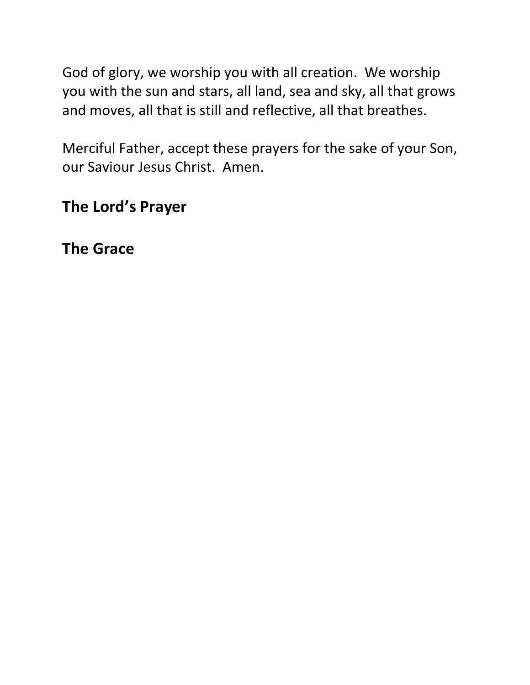God of glory, we worship you with all creation. We worship you with the sun and stars, all land, sea and sky, all that grows and moves, all that is still and reflective, all that breathes.

Merciful Father, accept these prayers for the sake of your Son, our Saviour Jesus Christ. Amen.

## **The Lord's Prayer**

**The Grace**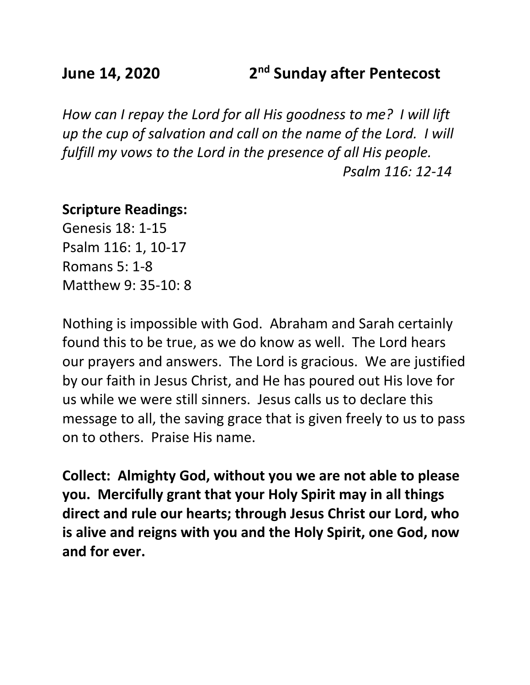## **June 14, 2020 2nd Sunday after Pentecost**

*How can I repay the Lord for all His goodness to me? I will lift up the cup of salvation and call on the name of the Lord. I will fulfill my vows to the Lord in the presence of all His people. Psalm 116: 12-14*

### **Scripture Readings:**

Genesis 18: 1-15 Psalm 116: 1, 10-17 Romans 5: 1-8 Matthew 9: 35-10: 8

Nothing is impossible with God. Abraham and Sarah certainly found this to be true, as we do know as well. The Lord hears our prayers and answers. The Lord is gracious. We are justified by our faith in Jesus Christ, and He has poured out His love for us while we were still sinners. Jesus calls us to declare this message to all, the saving grace that is given freely to us to pass on to others. Praise His name.

**Collect: Almighty God, without you we are not able to please you. Mercifully grant that your Holy Spirit may in all things direct and rule our hearts; through Jesus Christ our Lord, who is alive and reigns with you and the Holy Spirit, one God, now and for ever.**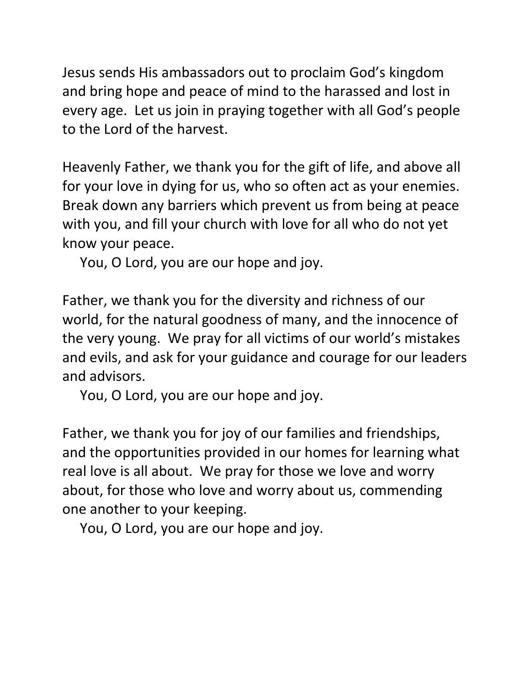Jesus sends His ambassadors out to proclaim God's kingdom and bring hope and peace of mind to the harassed and lost in every age. Let us join in praying together with all God's people to the Lord of the harvest.

Heavenly Father, we thank you for the gift of life, and above all for your love in dying for us, who so often act as your enemies. Break down any barriers which prevent us from being at peace with you, and fill your church with love for all who do not yet know your peace.

You, O Lord, you are our hope and joy.

Father, we thank you for the diversity and richness of our world, for the natural goodness of many, and the innocence of the very young. We pray for all victims of our world's mistakes and evils, and ask for your guidance and courage for our leaders and advisors.

You, O Lord, you are our hope and joy.

Father, we thank you for joy of our families and friendships, and the opportunities provided in our homes for learning what real love is all about. We pray for those we love and worry about, for those who love and worry about us, commending one another to your keeping.

You, O Lord, you are our hope and joy.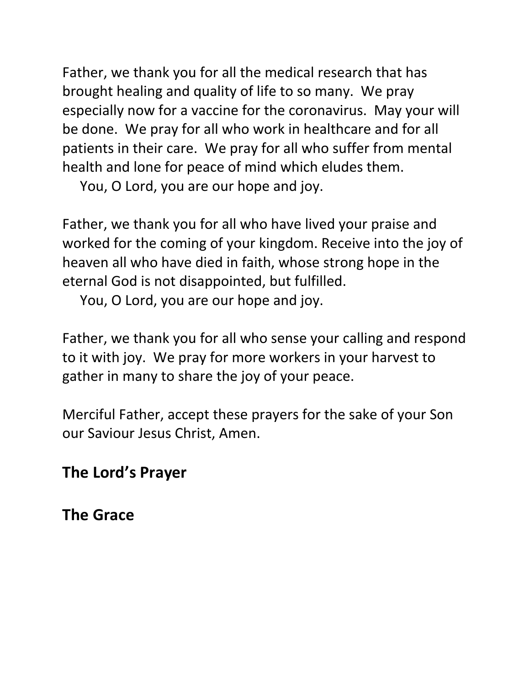Father, we thank you for all the medical research that has brought healing and quality of life to so many. We pray especially now for a vaccine for the coronavirus. May your will be done. We pray for all who work in healthcare and for all patients in their care. We pray for all who suffer from mental health and lone for peace of mind which eludes them.

You, O Lord, you are our hope and joy.

Father, we thank you for all who have lived your praise and worked for the coming of your kingdom. Receive into the joy of heaven all who have died in faith, whose strong hope in the eternal God is not disappointed, but fulfilled.

You, O Lord, you are our hope and joy.

Father, we thank you for all who sense your calling and respond to it with joy. We pray for more workers in your harvest to gather in many to share the joy of your peace.

Merciful Father, accept these prayers for the sake of your Son our Saviour Jesus Christ, Amen.

## **The Lord's Prayer**

**The Grace**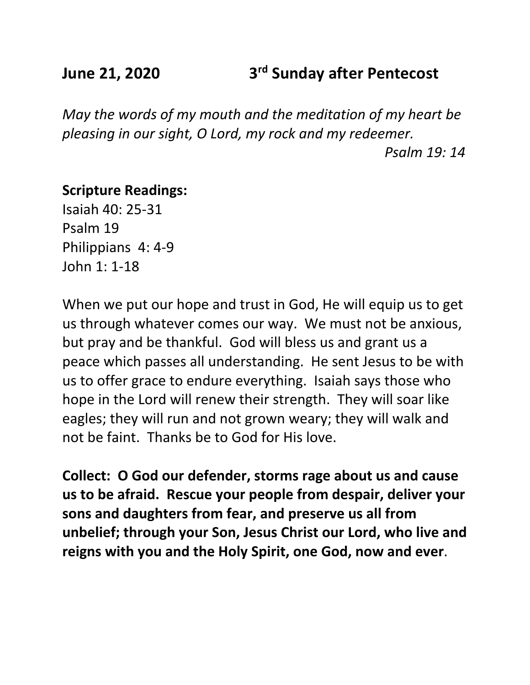## **June 21, 2020 3rd Sunday after Pentecost**

*May the words of my mouth and the meditation of my heart be pleasing in our sight, O Lord, my rock and my redeemer.*

*Psalm 19: 14*

### **Scripture Readings:**

Isaiah 40: 25-31 Psalm 19 Philippians 4: 4-9 John 1: 1-18

When we put our hope and trust in God, He will equip us to get us through whatever comes our way. We must not be anxious, but pray and be thankful. God will bless us and grant us a peace which passes all understanding. He sent Jesus to be with us to offer grace to endure everything. Isaiah says those who hope in the Lord will renew their strength. They will soar like eagles; they will run and not grown weary; they will walk and not be faint. Thanks be to God for His love.

**Collect: O God our defender, storms rage about us and cause us to be afraid. Rescue your people from despair, deliver your sons and daughters from fear, and preserve us all from unbelief; through your Son, Jesus Christ our Lord, who live and reigns with you and the Holy Spirit, one God, now and ever**.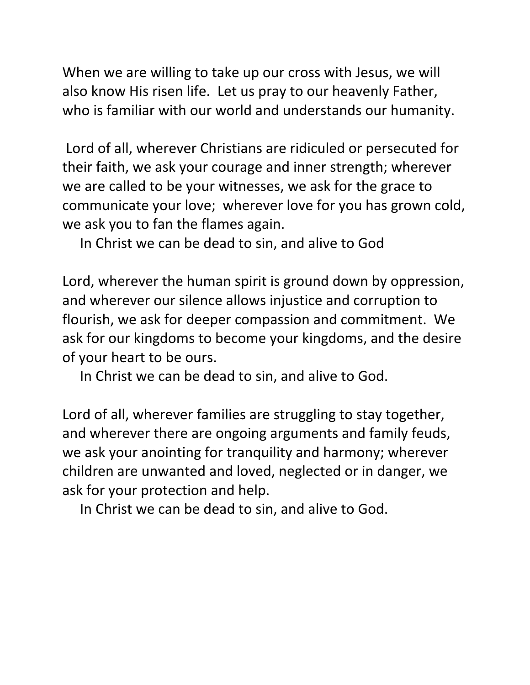When we are willing to take up our cross with Jesus, we will also know His risen life. Let us pray to our heavenly Father, who is familiar with our world and understands our humanity.

Lord of all, wherever Christians are ridiculed or persecuted for their faith, we ask your courage and inner strength; wherever we are called to be your witnesses, we ask for the grace to communicate your love; wherever love for you has grown cold, we ask you to fan the flames again.

In Christ we can be dead to sin, and alive to God

Lord, wherever the human spirit is ground down by oppression, and wherever our silence allows injustice and corruption to flourish, we ask for deeper compassion and commitment. We ask for our kingdoms to become your kingdoms, and the desire of your heart to be ours.

In Christ we can be dead to sin, and alive to God.

Lord of all, wherever families are struggling to stay together, and wherever there are ongoing arguments and family feuds, we ask your anointing for tranquility and harmony; wherever children are unwanted and loved, neglected or in danger, we ask for your protection and help.

In Christ we can be dead to sin, and alive to God.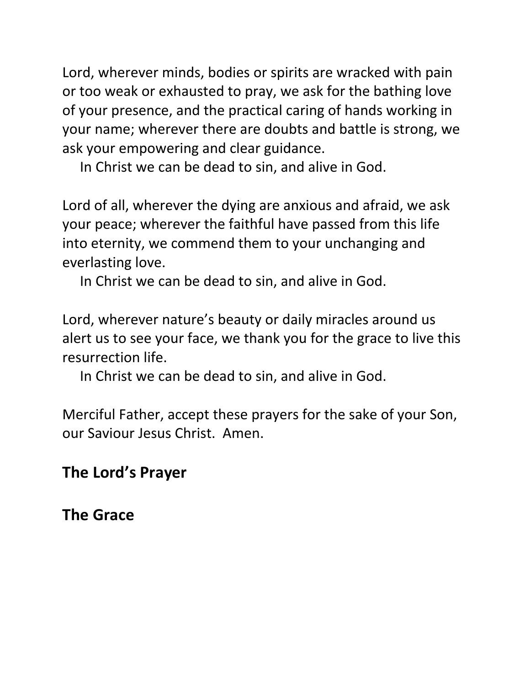Lord, wherever minds, bodies or spirits are wracked with pain or too weak or exhausted to pray, we ask for the bathing love of your presence, and the practical caring of hands working in your name; wherever there are doubts and battle is strong, we ask your empowering and clear guidance.

In Christ we can be dead to sin, and alive in God.

Lord of all, wherever the dying are anxious and afraid, we ask your peace; wherever the faithful have passed from this life into eternity, we commend them to your unchanging and everlasting love.

In Christ we can be dead to sin, and alive in God.

Lord, wherever nature's beauty or daily miracles around us alert us to see your face, we thank you for the grace to live this resurrection life.

In Christ we can be dead to sin, and alive in God.

Merciful Father, accept these prayers for the sake of your Son, our Saviour Jesus Christ. Amen.

## **The Lord's Prayer**

**The Grace**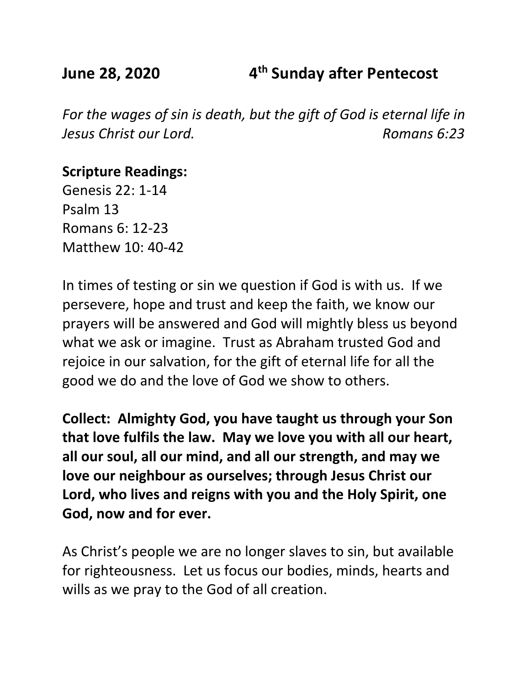**June 28, 2020 4th Sunday after Pentecost**

*For the wages of sin is death, but the gift of God is eternal life in Jesus Christ our Lord. Romans 6:23*

**Scripture Readings:**

Genesis 22: 1-14 Psalm 13 Romans 6: 12-23 Matthew 10: 40-42

In times of testing or sin we question if God is with us. If we persevere, hope and trust and keep the faith, we know our prayers will be answered and God will mightly bless us beyond what we ask or imagine. Trust as Abraham trusted God and rejoice in our salvation, for the gift of eternal life for all the good we do and the love of God we show to others.

**Collect: Almighty God, you have taught us through your Son that love fulfils the law. May we love you with all our heart, all our soul, all our mind, and all our strength, and may we love our neighbour as ourselves; through Jesus Christ our Lord, who lives and reigns with you and the Holy Spirit, one God, now and for ever.**

As Christ's people we are no longer slaves to sin, but available for righteousness. Let us focus our bodies, minds, hearts and wills as we pray to the God of all creation.